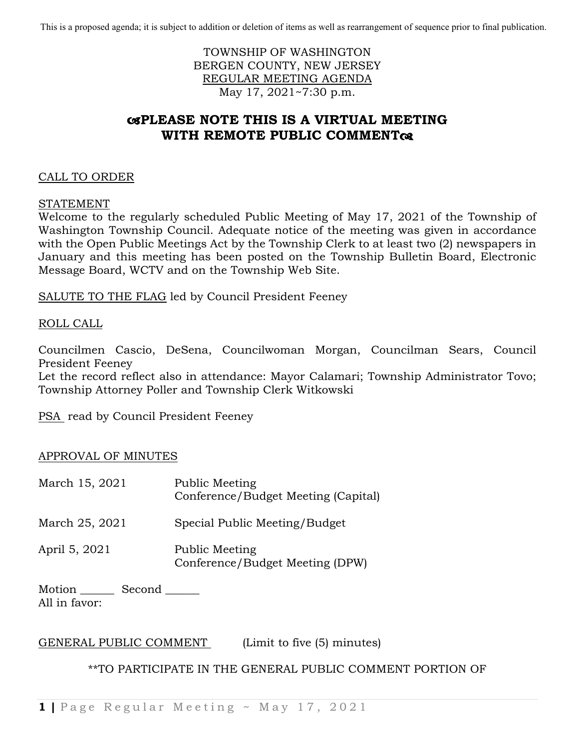This is a proposed agenda; it is subject to addition or deletion of items as well as rearrangement of sequence prior to final publication.

# TOWNSHIP OF WASHINGTON BERGEN COUNTY, NEW JERSEY REGULAR MEETING AGENDA May 17, 2021~7:30 p.m.

# **PLEASE NOTE THIS IS A VIRTUAL MEETING WITH REMOTE PUBLIC COMMENT**

# CALL TO ORDER

#### STATEMENT

Welcome to the regularly scheduled Public Meeting of May 17, 2021 of the Township of Washington Township Council. Adequate notice of the meeting was given in accordance with the Open Public Meetings Act by the Township Clerk to at least two (2) newspapers in January and this meeting has been posted on the Township Bulletin Board, Electronic Message Board, WCTV and on the Township Web Site.

SALUTE TO THE FLAG led by Council President Feeney

### ROLL CALL

Councilmen Cascio, DeSena, Councilwoman Morgan, Councilman Sears, Council President Feeney

Let the record reflect also in attendance: Mayor Calamari; Township Administrator Tovo; Township Attorney Poller and Township Clerk Witkowski

PSA read by Council President Feeney

### APPROVAL OF MINUTES

| March 15, 2021 | Public Meeting<br>Conference/Budget Meeting (Capital) |
|----------------|-------------------------------------------------------|
| March 25, 2021 | Special Public Meeting/Budget                         |
| April 5, 2021  | Public Meeting<br>Conference/Budget Meeting (DPW)     |

Motion Second All in favor:

GENERAL PUBLIC COMMENT (Limit to five (5) minutes)

### \*\*TO PARTICIPATE IN THE GENERAL PUBLIC COMMENT PORTION OF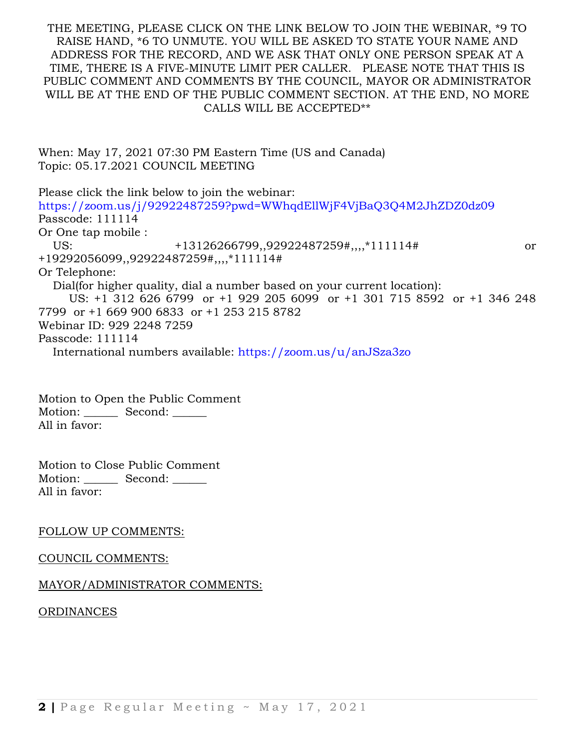### THE MEETING, PLEASE CLICK ON THE LINK BELOW TO JOIN THE WEBINAR, \*9 TO RAISE HAND, \*6 TO UNMUTE. YOU WILL BE ASKED TO STATE YOUR NAME AND ADDRESS FOR THE RECORD, AND WE ASK THAT ONLY ONE PERSON SPEAK AT A TIME, THERE IS A FIVE-MINUTE LIMIT PER CALLER. PLEASE NOTE THAT THIS IS PUBLIC COMMENT AND COMMENTS BY THE COUNCIL, MAYOR OR ADMINISTRATOR WILL BE AT THE END OF THE PUBLIC COMMENT SECTION. AT THE END, NO MORE CALLS WILL BE ACCEPTED\*\*

| When: May 17, 2021 07:30 PM Eastern Time (US and Canada) |  |
|----------------------------------------------------------|--|
| Topic: 05.17.2021 COUNCIL MEETING                        |  |

Please click the link below to join the webinar: <https://zoom.us/j/92922487259?pwd=WWhqdEllWjF4VjBaQ3Q4M2JhZDZ0dz09> Passcode: 111114 Or One tap mobile : US:  $+13126266799,92922487259#,...$ \*111114# or +19292056099,,92922487259#,,,,\*111114# Or Telephone: Dial(for higher quality, dial a number based on your current location): US: +1 312 626 6799 or +1 929 205 6099 or +1 301 715 8592 or +1 346 248 7799 or +1 669 900 6833 or +1 253 215 8782 Webinar ID: 929 2248 7259 Passcode: 111114 International numbers available:<https://zoom.us/u/anJSza3zo>

Motion to Open the Public Comment Motion: Second: \_\_\_\_\_\_ All in favor:

Motion to Close Public Comment Motion: \_\_\_\_\_\_\_ Second: All in favor:

#### FOLLOW UP COMMENTS:

#### COUNCIL COMMENTS:

### MAYOR/ADMINISTRATOR COMMENTS:

ORDINANCES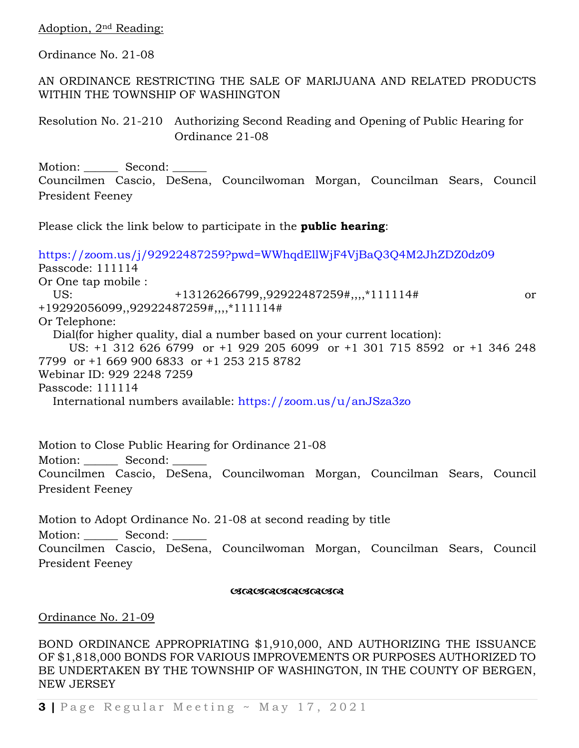Adoption, 2nd Reading:

Ordinance No. 21-08

AN ORDINANCE RESTRICTING THE SALE OF MARIJUANA AND RELATED PRODUCTS WITHIN THE TOWNSHIP OF WASHINGTON

Resolution No. 21-210 Authorizing Second Reading and Opening of Public Hearing for Ordinance 21-08

Motion: Second: Councilmen Cascio, DeSena, Councilwoman Morgan, Councilman Sears, Council President Feeney

Please click the link below to participate in the **public hearing**:

<https://zoom.us/j/92922487259?pwd=WWhqdEllWjF4VjBaQ3Q4M2JhZDZ0dz09> Passcode: 111114 Or One tap mobile : US:  $+13126266799,92922487259\#...,*111114\#$  or +19292056099,,92922487259#,,,,\*111114# Or Telephone: Dial(for higher quality, dial a number based on your current location): US: +1 312 626 6799 or +1 929 205 6099 or +1 301 715 8592 or +1 346 248 7799 or +1 669 900 6833 or +1 253 215 8782 Webinar ID: 929 2248 7259 Passcode: 111114 International numbers available:<https://zoom.us/u/anJSza3zo>

Motion to Close Public Hearing for Ordinance 21-08 Motion: Second: Councilmen Cascio, DeSena, Councilwoman Morgan, Councilman Sears, Council President Feeney

Motion to Adopt Ordinance No. 21-08 at second reading by title

Motion: Second:

Councilmen Cascio, DeSena, Councilwoman Morgan, Councilman Sears, Council President Feeney

#### <u> ભાજાબાજા ભાજા ભાજા ભાજા ભાજપ</u>

Ordinance No. 21-09

BOND ORDINANCE APPROPRIATING \$1,910,000, AND AUTHORIZING THE ISSUANCE OF \$1,818,000 BONDS FOR VARIOUS IMPROVEMENTS OR PURPOSES AUTHORIZED TO BE UNDERTAKEN BY THE TOWNSHIP OF WASHINGTON, IN THE COUNTY OF BERGEN, NEW JERSEY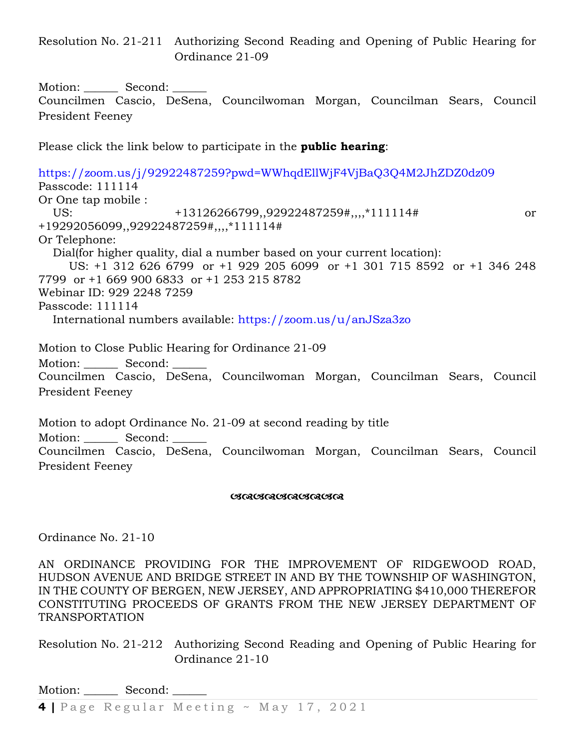Resolution No. 21-211 Authorizing Second Reading and Opening of Public Hearing for Ordinance 21-09

Motion: \_\_\_\_\_\_\_ Second: \_\_\_\_\_\_

Councilmen Cascio, DeSena, Councilwoman Morgan, Councilman Sears, Council President Feeney

Please click the link below to participate in the **public hearing**:

<https://zoom.us/j/92922487259?pwd=WWhqdEllWjF4VjBaQ3Q4M2JhZDZ0dz09> Passcode: 111114 Or One tap mobile : US:  $+13126266799,92922487259\#, 1111114\#$  or +19292056099,,92922487259#,,,,\*111114# Or Telephone: Dial(for higher quality, dial a number based on your current location): US: +1 312 626 6799 or +1 929 205 6099 or +1 301 715 8592 or +1 346 248 7799 or +1 669 900 6833 or +1 253 215 8782 Webinar ID: 929 2248 7259 Passcode: 111114 International numbers available:<https://zoom.us/u/anJSza3zo>

Motion to Close Public Hearing for Ordinance 21-09 Motion: Second: Councilmen Cascio, DeSena, Councilwoman Morgan, Councilman Sears, Council President Feeney

Motion to adopt Ordinance No. 21-09 at second reading by title Motion: Second: Councilmen Cascio, DeSena, Councilwoman Morgan, Councilman Sears, Council President Feeney

#### **GRAGGAGAGAGAGA**

Ordinance No. 21-10

AN ORDINANCE PROVIDING FOR THE IMPROVEMENT OF RIDGEWOOD ROAD, HUDSON AVENUE AND BRIDGE STREET IN AND BY THE TOWNSHIP OF WASHINGTON, IN THE COUNTY OF BERGEN, NEW JERSEY, AND APPROPRIATING \$410,000 THEREFOR CONSTITUTING PROCEEDS OF GRANTS FROM THE NEW JERSEY DEPARTMENT OF TRANSPORTATION

Resolution No. 21-212 Authorizing Second Reading and Opening of Public Hearing for Ordinance 21-10

Motion: Second: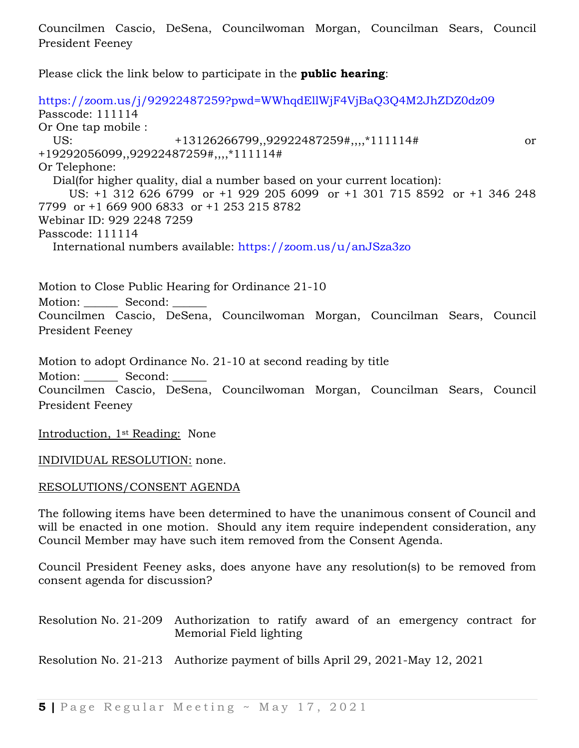Councilmen Cascio, DeSena, Councilwoman Morgan, Councilman Sears, Council President Feeney

Please click the link below to participate in the **public hearing**:

<https://zoom.us/j/92922487259?pwd=WWhqdEllWjF4VjBaQ3Q4M2JhZDZ0dz09> Passcode: 111114 Or One tap mobile : US:  $+13126266799,92922487259\#, 1111114\#$  or +19292056099,,92922487259#,,,,\*111114# Or Telephone: Dial(for higher quality, dial a number based on your current location): US: +1 312 626 6799 or +1 929 205 6099 or +1 301 715 8592 or +1 346 248 7799 or +1 669 900 6833 or +1 253 215 8782 Webinar ID: 929 2248 7259 Passcode: 111114 International numbers available:<https://zoom.us/u/anJSza3zo>

Motion to Close Public Hearing for Ordinance 21-10 Motion: Second: Councilmen Cascio, DeSena, Councilwoman Morgan, Councilman Sears, Council President Feeney

Motion to adopt Ordinance No. 21-10 at second reading by title

Motion: Second:

Councilmen Cascio, DeSena, Councilwoman Morgan, Councilman Sears, Council President Feeney

Introduction, 1st Reading: None

INDIVIDUAL RESOLUTION: none.

RESOLUTIONS/CONSENT AGENDA

The following items have been determined to have the unanimous consent of Council and will be enacted in one motion. Should any item require independent consideration, any Council Member may have such item removed from the Consent Agenda.

Council President Feeney asks, does anyone have any resolution(s) to be removed from consent agenda for discussion?

Resolution No. 21-209 Authorization to ratify award of an emergency contract for Memorial Field lighting

Resolution No. 21-213 Authorize payment of bills April 29, 2021-May 12, 2021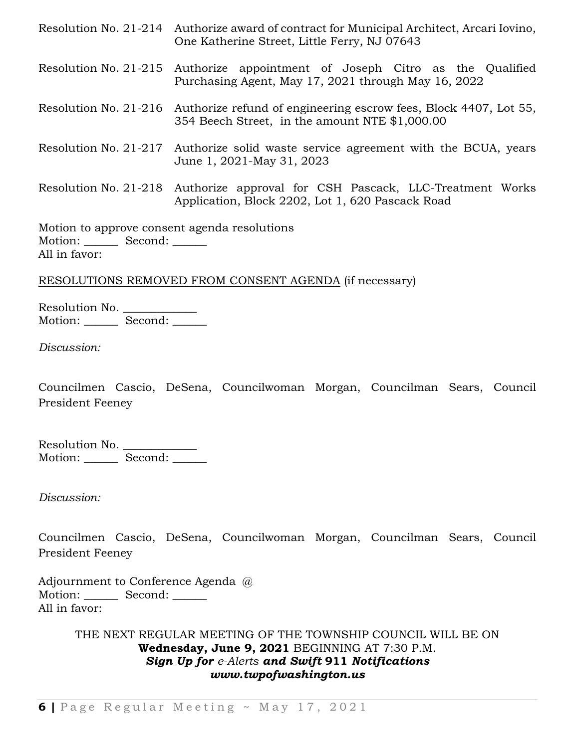Resolution No. 21-214 Authorize award of contract for Municipal Architect, Arcari Iovino, One Katherine Street, Little Ferry, NJ 07643 Resolution No. 21-215 Authorize appointment of Joseph Citro as the Qualified Purchasing Agent, May 17, 2021 through May 16, 2022 Resolution No. 21-216 Authorize refund of engineering escrow fees, Block 4407, Lot 55, 354 Beech Street, in the amount NTE \$1,000.00 Resolution No. 21-217 Authorize solid waste service agreement with the BCUA, years June 1, 2021-May 31, 2023 Resolution No. 21-218 Authorize approval for CSH Pascack, LLC-Treatment Works Application, Block 2202, Lot 1, 620 Pascack Road

Motion to approve consent agenda resolutions Motion: Second: \_\_\_\_\_\_ All in favor:

RESOLUTIONS REMOVED FROM CONSENT AGENDA (if necessary)

Resolution No. Motion: Second: \_\_\_\_\_\_

*Discussion:*

Councilmen Cascio, DeSena, Councilwoman Morgan, Councilman Sears, Council President Feeney

Resolution No. \_\_\_\_\_\_\_\_\_\_\_\_\_\_ Motion: Second:

*Discussion:*

Councilmen Cascio, DeSena, Councilwoman Morgan, Councilman Sears, Council President Feeney

Adjournment to Conference Agenda  $\omega$ Motion: Second: \_\_\_\_\_\_ All in favor:

> THE NEXT REGULAR MEETING OF THE TOWNSHIP COUNCIL WILL BE ON **Wednesday, June 9, 2021** BEGINNING AT 7:30 P.M. *Sign Up for [e-Alerts](http://www.twpofwashington.us/site/cpage.asp?cpage_id=180016957&sec_id=180006394) and Swift* **911** *Notifications www.twpofwashington.us*